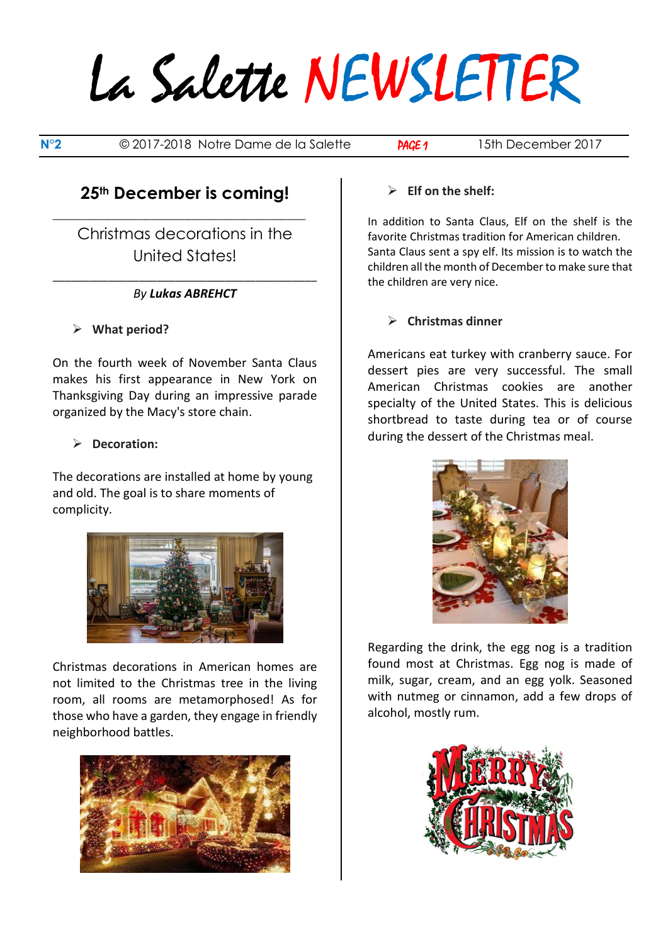# La Salette NEWSLETTER

**N°2** © 2017-2018 Notre Dame de la Salette **PAGE 1** 15th December 2017

## **25th December is coming!**

**\_\_\_\_\_\_\_\_\_\_\_\_\_\_\_\_\_\_\_\_\_\_\_\_\_\_\_\_\_\_\_\_\_\_\_\_\_\_\_\_\_**

Christmas decorations in the United States!

#### \_\_\_\_\_\_\_\_\_\_\_\_\_\_\_\_\_\_\_\_\_\_\_\_\_\_\_\_\_\_\_\_\_\_\_\_\_\_\_\_\_\_\_ *By Lukas ABREHCT*

#### ➢ **What period?**

On the fourth week of November Santa Claus makes his first appearance in New York on Thanksgiving Day during an impressive parade organized by the Macy's store chain.

#### ➢ **Decoration:**

The decorations are installed at home by young and old. The goal is to share moments of complicity.



Christmas decorations in American homes are not limited to the Christmas tree in the living room, all rooms are metamorphosed! As for those who have a garden, they engage in friendly neighborhood battles.



#### ➢ **Elf on the shelf:**

In addition to Santa Claus, Elf on the shelf is the favorite Christmas tradition for American children. Santa Claus sent a spy elf. Its mission is to watch the children all the month of December to make sure that the children are very nice.

#### ➢ **Christmas dinner**

Americans eat turkey with cranberry sauce. For dessert pies are very successful. The small American Christmas cookies are another specialty of the United States. This is delicious shortbread to taste during tea or of course during the dessert of the Christmas meal.



Regarding the drink, the egg nog is a tradition found most at Christmas. Egg nog is made of milk, sugar, cream, and an egg yolk. Seasoned with nutmeg or cinnamon, add a few drops of alcohol, mostly rum.